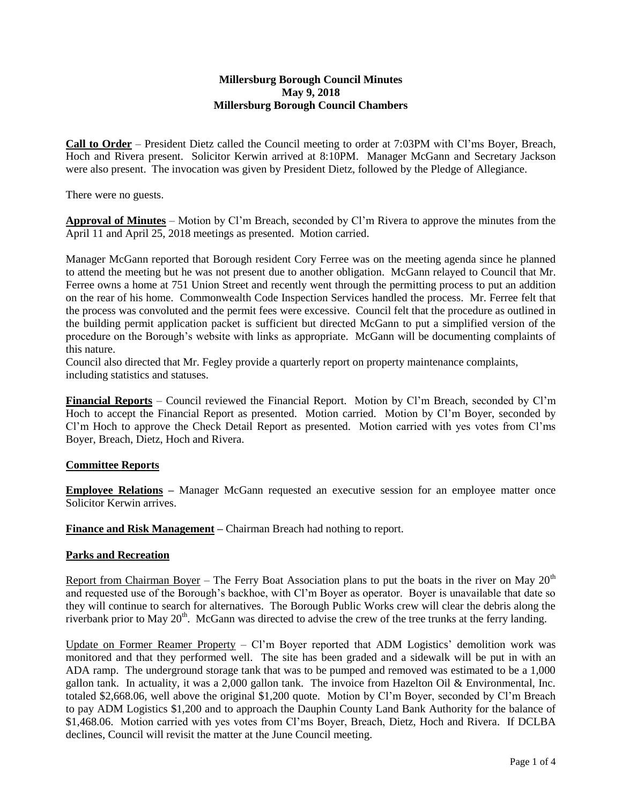#### **Millersburg Borough Council Minutes May 9, 2018 Millersburg Borough Council Chambers**

**Call to Order** – President Dietz called the Council meeting to order at 7:03PM with Cl'ms Boyer, Breach, Hoch and Rivera present. Solicitor Kerwin arrived at 8:10PM. Manager McGann and Secretary Jackson were also present. The invocation was given by President Dietz, followed by the Pledge of Allegiance.

There were no guests.

**Approval of Minutes** – Motion by Cl'm Breach, seconded by Cl'm Rivera to approve the minutes from the April 11 and April 25, 2018 meetings as presented. Motion carried.

Manager McGann reported that Borough resident Cory Ferree was on the meeting agenda since he planned to attend the meeting but he was not present due to another obligation. McGann relayed to Council that Mr. Ferree owns a home at 751 Union Street and recently went through the permitting process to put an addition on the rear of his home. Commonwealth Code Inspection Services handled the process. Mr. Ferree felt that the process was convoluted and the permit fees were excessive. Council felt that the procedure as outlined in the building permit application packet is sufficient but directed McGann to put a simplified version of the procedure on the Borough's website with links as appropriate. McGann will be documenting complaints of this nature.

Council also directed that Mr. Fegley provide a quarterly report on property maintenance complaints, including statistics and statuses.

**Financial Reports** – Council reviewed the Financial Report. Motion by Cl'm Breach, seconded by Cl'm Hoch to accept the Financial Report as presented. Motion carried. Motion by Cl'm Boyer, seconded by Cl'm Hoch to approve the Check Detail Report as presented. Motion carried with yes votes from Cl'ms Boyer, Breach, Dietz, Hoch and Rivera.

## **Committee Reports**

**Employee Relations** – Manager McGann requested an executive session for an employee matter once Solicitor Kerwin arrives.

**Finance and Risk Management –** Chairman Breach had nothing to report.

## **Parks and Recreation**

Report from Chairman Boyer – The Ferry Boat Association plans to put the boats in the river on May  $20<sup>th</sup>$ and requested use of the Borough's backhoe, with Cl'm Boyer as operator. Boyer is unavailable that date so they will continue to search for alternatives. The Borough Public Works crew will clear the debris along the riverbank prior to May  $20<sup>th</sup>$ . McGann was directed to advise the crew of the tree trunks at the ferry landing.

Update on Former Reamer Property – Cl'm Boyer reported that ADM Logistics' demolition work was monitored and that they performed well. The site has been graded and a sidewalk will be put in with an ADA ramp. The underground storage tank that was to be pumped and removed was estimated to be a 1,000 gallon tank. In actuality, it was a 2,000 gallon tank. The invoice from Hazelton Oil & Environmental, Inc. totaled \$2,668.06, well above the original \$1,200 quote. Motion by Cl'm Boyer, seconded by Cl'm Breach to pay ADM Logistics \$1,200 and to approach the Dauphin County Land Bank Authority for the balance of \$1,468.06. Motion carried with yes votes from Cl'ms Boyer, Breach, Dietz, Hoch and Rivera. If DCLBA declines, Council will revisit the matter at the June Council meeting.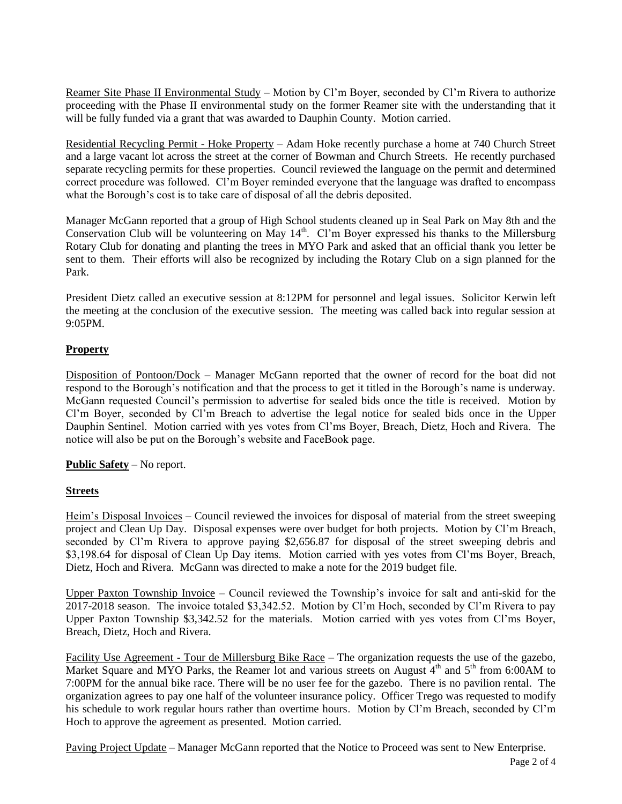Reamer Site Phase II Environmental Study – Motion by Cl'm Boyer, seconded by Cl'm Rivera to authorize proceeding with the Phase II environmental study on the former Reamer site with the understanding that it will be fully funded via a grant that was awarded to Dauphin County. Motion carried.

Residential Recycling Permit - Hoke Property – Adam Hoke recently purchase a home at 740 Church Street and a large vacant lot across the street at the corner of Bowman and Church Streets. He recently purchased separate recycling permits for these properties. Council reviewed the language on the permit and determined correct procedure was followed. Cl'm Boyer reminded everyone that the language was drafted to encompass what the Borough's cost is to take care of disposal of all the debris deposited.

Manager McGann reported that a group of High School students cleaned up in Seal Park on May 8th and the Conservation Club will be volunteering on May 14<sup>th</sup>. Cl'm Boyer expressed his thanks to the Millersburg Rotary Club for donating and planting the trees in MYO Park and asked that an official thank you letter be sent to them. Their efforts will also be recognized by including the Rotary Club on a sign planned for the Park.

President Dietz called an executive session at 8:12PM for personnel and legal issues. Solicitor Kerwin left the meeting at the conclusion of the executive session. The meeting was called back into regular session at 9:05PM.

# **Property**

Disposition of Pontoon/Dock – Manager McGann reported that the owner of record for the boat did not respond to the Borough's notification and that the process to get it titled in the Borough's name is underway. McGann requested Council's permission to advertise for sealed bids once the title is received. Motion by Cl'm Boyer, seconded by Cl'm Breach to advertise the legal notice for sealed bids once in the Upper Dauphin Sentinel. Motion carried with yes votes from Cl'ms Boyer, Breach, Dietz, Hoch and Rivera. The notice will also be put on the Borough's website and FaceBook page.

## **Public Safety** – No report.

## **Streets**

Heim's Disposal Invoices – Council reviewed the invoices for disposal of material from the street sweeping project and Clean Up Day. Disposal expenses were over budget for both projects. Motion by Cl'm Breach, seconded by Cl'm Rivera to approve paying \$2,656.87 for disposal of the street sweeping debris and \$3,198.64 for disposal of Clean Up Day items. Motion carried with yes votes from Cl'ms Boyer, Breach, Dietz, Hoch and Rivera. McGann was directed to make a note for the 2019 budget file.

Upper Paxton Township Invoice – Council reviewed the Township's invoice for salt and anti-skid for the 2017-2018 season. The invoice totaled \$3,342.52. Motion by Cl'm Hoch, seconded by Cl'm Rivera to pay Upper Paxton Township \$3,342.52 for the materials. Motion carried with yes votes from Cl'ms Boyer, Breach, Dietz, Hoch and Rivera.

Facility Use Agreement - Tour de Millersburg Bike Race – The organization requests the use of the gazebo, Market Square and MYO Parks, the Reamer lot and various streets on August  $4<sup>th</sup>$  and  $5<sup>th</sup>$  from 6:00AM to 7:00PM for the annual bike race. There will be no user fee for the gazebo. There is no pavilion rental. The organization agrees to pay one half of the volunteer insurance policy. Officer Trego was requested to modify his schedule to work regular hours rather than overtime hours. Motion by Cl'm Breach, seconded by Cl'm Hoch to approve the agreement as presented. Motion carried.

Paving Project Update – Manager McGann reported that the Notice to Proceed was sent to New Enterprise.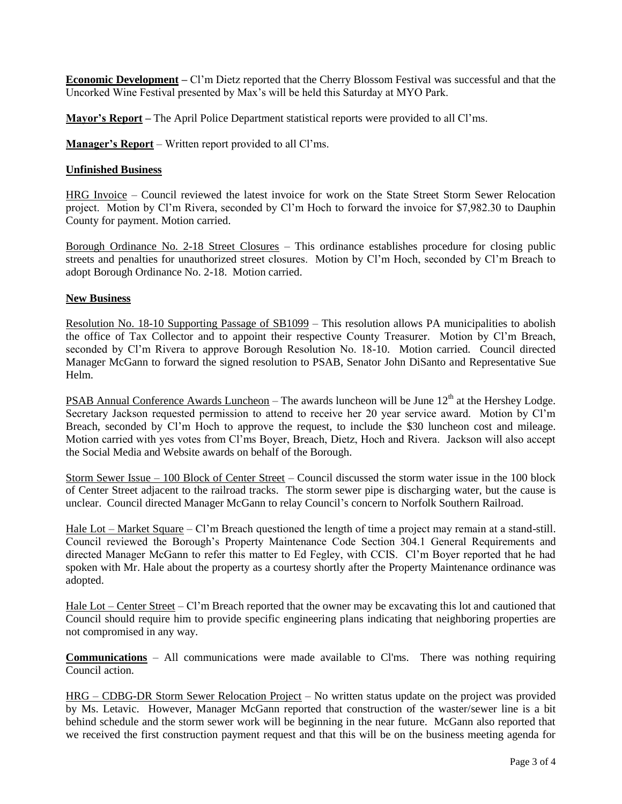**Economic Development –** Cl'm Dietz reported that the Cherry Blossom Festival was successful and that the Uncorked Wine Festival presented by Max's will be held this Saturday at MYO Park.

**Mayor's Report –** The April Police Department statistical reports were provided to all Cl'ms.

**Manager's Report** – Written report provided to all Cl'ms.

#### **Unfinished Business**

HRG Invoice – Council reviewed the latest invoice for work on the State Street Storm Sewer Relocation project. Motion by Cl'm Rivera, seconded by Cl'm Hoch to forward the invoice for \$7,982.30 to Dauphin County for payment. Motion carried.

Borough Ordinance No. 2-18 Street Closures – This ordinance establishes procedure for closing public streets and penalties for unauthorized street closures. Motion by Cl'm Hoch, seconded by Cl'm Breach to adopt Borough Ordinance No. 2-18. Motion carried.

#### **New Business**

Resolution No. 18-10 Supporting Passage of SB1099 – This resolution allows PA municipalities to abolish the office of Tax Collector and to appoint their respective County Treasurer. Motion by Cl'm Breach, seconded by Cl'm Rivera to approve Borough Resolution No. 18-10. Motion carried. Council directed Manager McGann to forward the signed resolution to PSAB, Senator John DiSanto and Representative Sue Helm.

PSAB Annual Conference Awards Luncheon – The awards luncheon will be June  $12<sup>th</sup>$  at the Hershey Lodge. Secretary Jackson requested permission to attend to receive her 20 year service award. Motion by Cl'm Breach, seconded by Cl'm Hoch to approve the request, to include the \$30 luncheon cost and mileage. Motion carried with yes votes from Cl'ms Boyer, Breach, Dietz, Hoch and Rivera. Jackson will also accept the Social Media and Website awards on behalf of the Borough.

Storm Sewer Issue – 100 Block of Center Street – Council discussed the storm water issue in the 100 block of Center Street adjacent to the railroad tracks. The storm sewer pipe is discharging water, but the cause is unclear. Council directed Manager McGann to relay Council's concern to Norfolk Southern Railroad.

Hale Lot – Market Square – Cl'm Breach questioned the length of time a project may remain at a stand-still. Council reviewed the Borough's Property Maintenance Code Section 304.1 General Requirements and directed Manager McGann to refer this matter to Ed Fegley, with CCIS. Cl'm Boyer reported that he had spoken with Mr. Hale about the property as a courtesy shortly after the Property Maintenance ordinance was adopted.

Hale Lot – Center Street – Cl'm Breach reported that the owner may be excavating this lot and cautioned that Council should require him to provide specific engineering plans indicating that neighboring properties are not compromised in any way.

**Communications** – All communications were made available to Cl'ms. There was nothing requiring Council action.

HRG – CDBG-DR Storm Sewer Relocation Project – No written status update on the project was provided by Ms. Letavic. However, Manager McGann reported that construction of the waster/sewer line is a bit behind schedule and the storm sewer work will be beginning in the near future. McGann also reported that we received the first construction payment request and that this will be on the business meeting agenda for